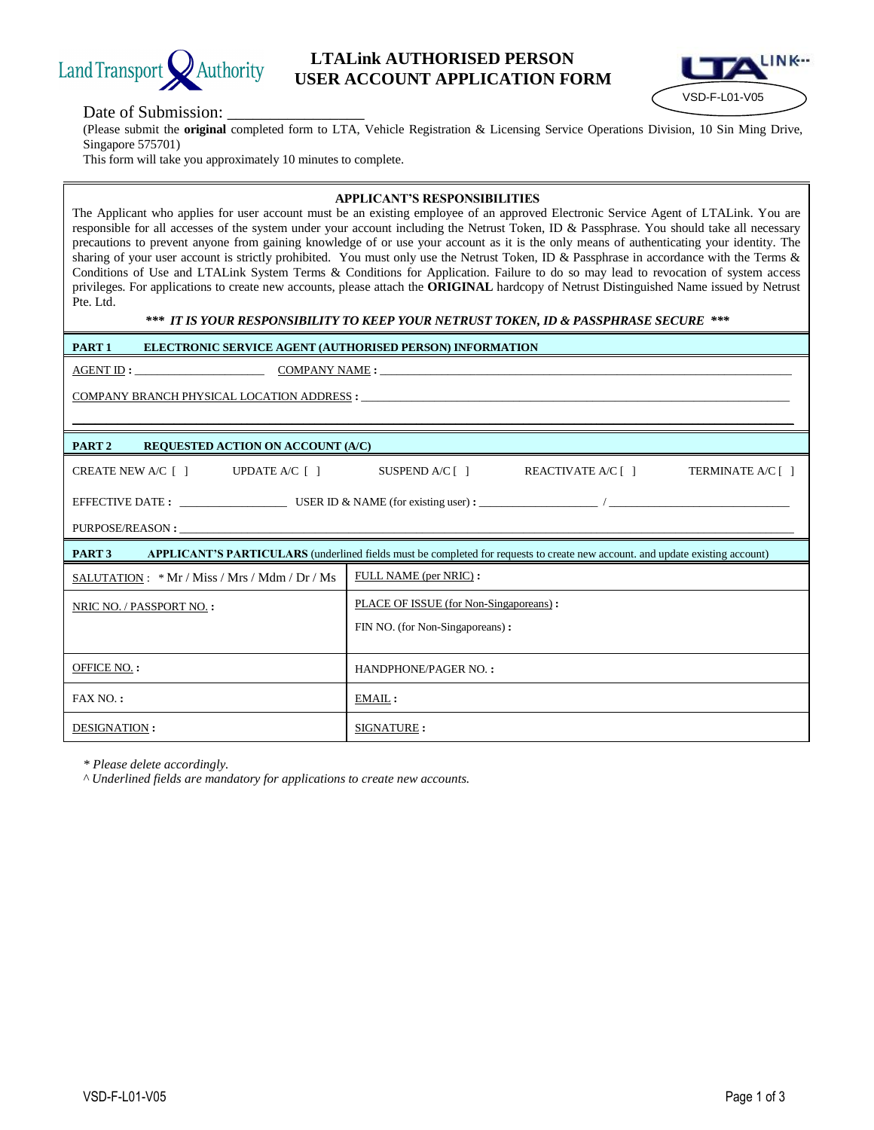

### **LTALink AUTHORISED PERSON EXAMPLE AUTHORISED PERSON**<br>USER ACCOUNT APPLICATION FORM



#### Date of Submission:

(Please submit the **original** completed form to LTA, Vehicle Registration & Licensing Service Operations Division, 10 Sin Ming Drive, Singapore 575701)

This form will take you approximately 10 minutes to complete.

#### **APPLICANT'S RESPONSIBILITIES**

The Applicant who applies for user account must be an existing employee of an approved Electronic Service Agent of LTALink. You are responsible for all accesses of the system under your account including the Netrust Token, ID & Passphrase. You should take all necessary precautions to prevent anyone from gaining knowledge of or use your account as it is the only means of authenticating your identity. The sharing of your user account is strictly prohibited. You must only use the Netrust Token, ID & Passphrase in accordance with the Terms & Conditions of Use and LTALink System Terms & Conditions for Application. Failure to do so may lead to revocation of system access privileges. For applications to create new accounts, please attach the **ORIGINAL** hardcopy of Netrust Distinguished Name issued by Netrust Pte. Ltd.

#### *\*\*\* IT IS YOUR RESPONSIBILITY TO KEEP YOUR NETRUST TOKEN, ID & PASSPHRASE SECURE \*\*\**

| PART <sub>1</sub><br>ELECTRONIC SERVICE AGENT (AUTHORISED PERSON) INFORMATION                                                               |                                                                                   |  |
|---------------------------------------------------------------------------------------------------------------------------------------------|-----------------------------------------------------------------------------------|--|
|                                                                                                                                             |                                                                                   |  |
|                                                                                                                                             |                                                                                   |  |
|                                                                                                                                             |                                                                                   |  |
| PART <sub>2</sub><br><b>REQUESTED ACTION ON ACCOUNT (A/C)</b>                                                                               |                                                                                   |  |
|                                                                                                                                             | CREATE NEW A/C [] UPDATE A/C [] SUSPEND A/C [] REACTIVATE A/C [] TERMINATE A/C [] |  |
|                                                                                                                                             |                                                                                   |  |
|                                                                                                                                             |                                                                                   |  |
| <b>PART 3</b> APPLICANT'S PARTICULARS (underlined fields must be completed for requests to create new account. and update existing account) |                                                                                   |  |
|                                                                                                                                             |                                                                                   |  |
| SALUTATION : * Mr / Miss / Mrs / Mdm / Dr / Ms                                                                                              | FULL NAME (per NRIC):                                                             |  |
| NRIC NO. / PASSPORT NO.:                                                                                                                    | PLACE OF ISSUE (for Non-Singaporeans):                                            |  |
|                                                                                                                                             | FIN NO. (for Non-Singaporeans):                                                   |  |
|                                                                                                                                             |                                                                                   |  |
| <b>OFFICE NO.:</b>                                                                                                                          | HANDPHONE/PAGER NO.:                                                              |  |
| $FAX NO.$ :                                                                                                                                 | EMAIL:                                                                            |  |

*\* Please delete accordingly.*

*^ Underlined fields are mandatory for applications to create new accounts.*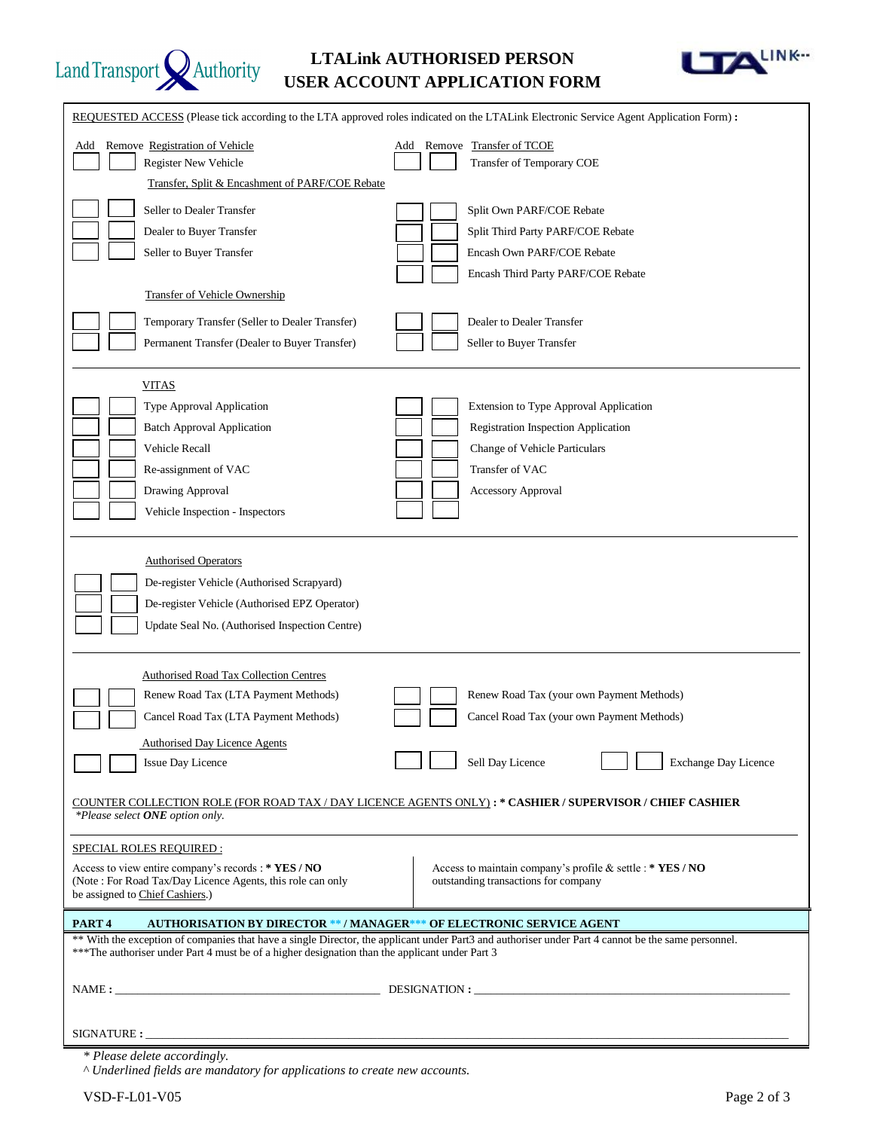

# **LTALink AUTHORISED PERSON USER ACCOUNT APPLICATION FORM**



| REQUESTED ACCESS (Please tick according to the LTA approved roles indicated on the LTALink Electronic Service Agent Application Form):                                       |                                                                                                                                                     |  |  |
|------------------------------------------------------------------------------------------------------------------------------------------------------------------------------|-----------------------------------------------------------------------------------------------------------------------------------------------------|--|--|
| Remove Registration of Vehicle<br>Add<br>Register New Vehicle<br>Transfer, Split & Encashment of PARF/COE Rebate                                                             | Add Remove Transfer of TCOE<br>Transfer of Temporary COE                                                                                            |  |  |
| Seller to Dealer Transfer                                                                                                                                                    | Split Own PARF/COE Rebate                                                                                                                           |  |  |
| Dealer to Buyer Transfer                                                                                                                                                     | Split Third Party PARF/COE Rebate                                                                                                                   |  |  |
| Seller to Buyer Transfer                                                                                                                                                     | Encash Own PARF/COE Rebate                                                                                                                          |  |  |
|                                                                                                                                                                              | Encash Third Party PARF/COE Rebate                                                                                                                  |  |  |
| <b>Transfer of Vehicle Ownership</b>                                                                                                                                         |                                                                                                                                                     |  |  |
| Temporary Transfer (Seller to Dealer Transfer)                                                                                                                               | Dealer to Dealer Transfer                                                                                                                           |  |  |
| Permanent Transfer (Dealer to Buyer Transfer)                                                                                                                                | Seller to Buyer Transfer                                                                                                                            |  |  |
|                                                                                                                                                                              |                                                                                                                                                     |  |  |
| VITAS                                                                                                                                                                        |                                                                                                                                                     |  |  |
| Type Approval Application                                                                                                                                                    | Extension to Type Approval Application                                                                                                              |  |  |
| <b>Batch Approval Application</b>                                                                                                                                            | <b>Registration Inspection Application</b>                                                                                                          |  |  |
| Vehicle Recall                                                                                                                                                               | Change of Vehicle Particulars                                                                                                                       |  |  |
| Re-assignment of VAC                                                                                                                                                         | Transfer of VAC                                                                                                                                     |  |  |
| Drawing Approval                                                                                                                                                             | <b>Accessory Approval</b>                                                                                                                           |  |  |
| Vehicle Inspection - Inspectors                                                                                                                                              |                                                                                                                                                     |  |  |
| <b>Authorised Operators</b><br>De-register Vehicle (Authorised Scrapyard)<br>De-register Vehicle (Authorised EPZ Operator)<br>Update Seal No. (Authorised Inspection Centre) |                                                                                                                                                     |  |  |
| <b>Authorised Road Tax Collection Centres</b>                                                                                                                                |                                                                                                                                                     |  |  |
| Renew Road Tax (LTA Payment Methods)                                                                                                                                         | Renew Road Tax (your own Payment Methods)                                                                                                           |  |  |
| Cancel Road Tax (LTA Payment Methods)                                                                                                                                        | Cancel Road Tax (your own Payment Methods)                                                                                                          |  |  |
| Authorised Day Licence Agents                                                                                                                                                |                                                                                                                                                     |  |  |
| Issue Day Licence                                                                                                                                                            | Sell Day Licence<br><b>Exchange Day Licence</b>                                                                                                     |  |  |
| COUNTER COLLECTION ROLE (FOR ROAD TAX / DAY LICENCE AGENTS ONLY) : * CASHIER / SUPERVISOR / CHIEF CASHIER<br>*Please select ONE option only.                                 |                                                                                                                                                     |  |  |
| SPECIAL ROLES REQUIRED :                                                                                                                                                     |                                                                                                                                                     |  |  |
| Access to view entire company's records: * YES / NO                                                                                                                          | Access to maintain company's profile & settle : * YES / NO                                                                                          |  |  |
| (Note: For Road Tax/Day Licence Agents, this role can only<br>be assigned to Chief Cashiers.)                                                                                | outstanding transactions for company                                                                                                                |  |  |
| PART <sub>4</sub>                                                                                                                                                            | <b>AUTHORISATION BY DIRECTOR ** / MANAGER*** OF ELECTRONIC SERVICE AGENT</b>                                                                        |  |  |
|                                                                                                                                                                              | ** With the exception of companies that have a single Director, the applicant under Part3 and authoriser under Part 4 cannot be the same personnel. |  |  |
| ***The authoriser under Part 4 must be of a higher designation than the applicant under Part 3                                                                               |                                                                                                                                                     |  |  |
|                                                                                                                                                                              | NAME:                                                                                                                                               |  |  |
|                                                                                                                                                                              |                                                                                                                                                     |  |  |
| SIGNATURE : _______                                                                                                                                                          |                                                                                                                                                     |  |  |

*\* Please delete accordingly.*

*^ Underlined fields are mandatory for applications to create new accounts.*